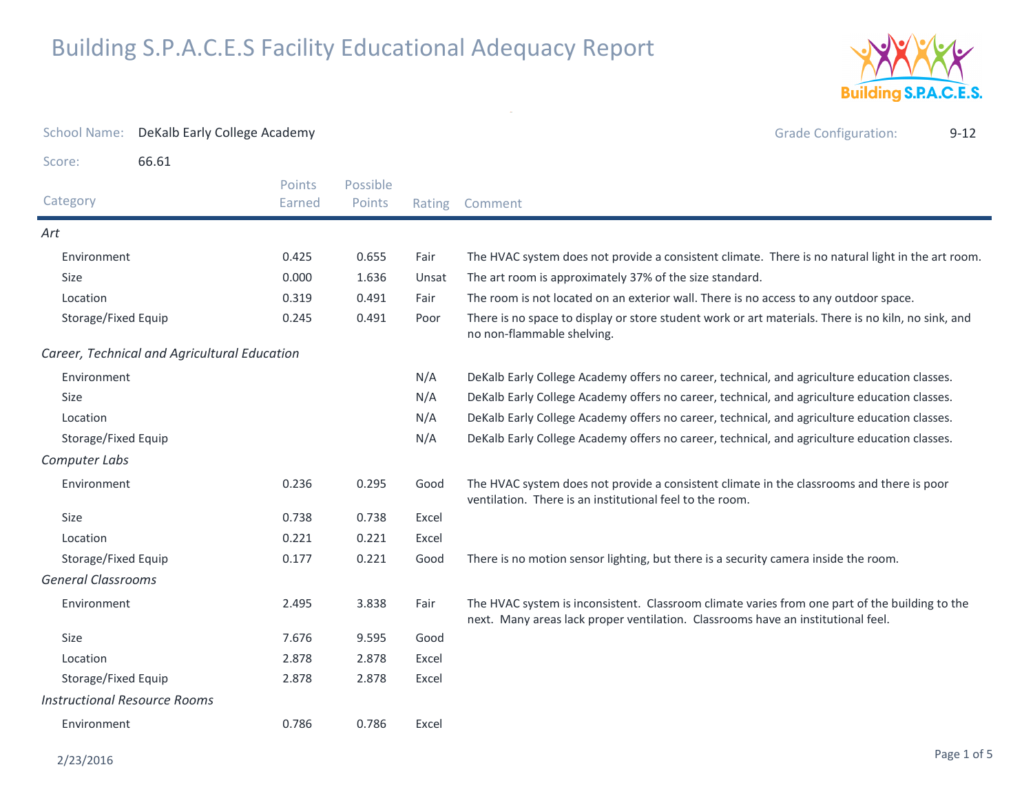

| <b>School Name:</b>                 | DeKalb Early College Academy                 |                  |                    |       | <b>Grade Configuration:</b><br>$9 - 12$                                                                                                                                            |
|-------------------------------------|----------------------------------------------|------------------|--------------------|-------|------------------------------------------------------------------------------------------------------------------------------------------------------------------------------------|
| Score:                              | 66.61                                        |                  |                    |       |                                                                                                                                                                                    |
| Category                            |                                              | Points<br>Earned | Possible<br>Points |       | Rating Comment                                                                                                                                                                     |
| Art                                 |                                              |                  |                    |       |                                                                                                                                                                                    |
| Environment                         |                                              | 0.425            | 0.655              | Fair  | The HVAC system does not provide a consistent climate. There is no natural light in the art room.                                                                                  |
| Size                                |                                              | 0.000            | 1.636              | Unsat | The art room is approximately 37% of the size standard.                                                                                                                            |
| Location                            |                                              | 0.319            | 0.491              | Fair  | The room is not located on an exterior wall. There is no access to any outdoor space.                                                                                              |
| Storage/Fixed Equip                 |                                              | 0.245            | 0.491              | Poor  | There is no space to display or store student work or art materials. There is no kiln, no sink, and<br>no non-flammable shelving.                                                  |
|                                     | Career, Technical and Agricultural Education |                  |                    |       |                                                                                                                                                                                    |
| Environment                         |                                              |                  |                    | N/A   | DeKalb Early College Academy offers no career, technical, and agriculture education classes.                                                                                       |
| <b>Size</b>                         |                                              |                  |                    | N/A   | DeKalb Early College Academy offers no career, technical, and agriculture education classes.                                                                                       |
| Location                            |                                              |                  |                    | N/A   | DeKalb Early College Academy offers no career, technical, and agriculture education classes.                                                                                       |
| Storage/Fixed Equip                 |                                              |                  |                    | N/A   | DeKalb Early College Academy offers no career, technical, and agriculture education classes.                                                                                       |
| Computer Labs                       |                                              |                  |                    |       |                                                                                                                                                                                    |
| Environment                         |                                              | 0.236            | 0.295              | Good  | The HVAC system does not provide a consistent climate in the classrooms and there is poor<br>ventilation. There is an institutional feel to the room.                              |
| Size                                |                                              | 0.738            | 0.738              | Excel |                                                                                                                                                                                    |
| Location                            |                                              | 0.221            | 0.221              | Excel |                                                                                                                                                                                    |
| Storage/Fixed Equip                 |                                              | 0.177            | 0.221              | Good  | There is no motion sensor lighting, but there is a security camera inside the room.                                                                                                |
| <b>General Classrooms</b>           |                                              |                  |                    |       |                                                                                                                                                                                    |
| Environment                         |                                              | 2.495            | 3.838              | Fair  | The HVAC system is inconsistent. Classroom climate varies from one part of the building to the<br>next. Many areas lack proper ventilation. Classrooms have an institutional feel. |
| Size                                |                                              | 7.676            | 9.595              | Good  |                                                                                                                                                                                    |
| Location                            |                                              | 2.878            | 2.878              | Excel |                                                                                                                                                                                    |
| Storage/Fixed Equip                 |                                              | 2.878            | 2.878              | Excel |                                                                                                                                                                                    |
| <b>Instructional Resource Rooms</b> |                                              |                  |                    |       |                                                                                                                                                                                    |
| Environment                         |                                              | 0.786            | 0.786              | Excel |                                                                                                                                                                                    |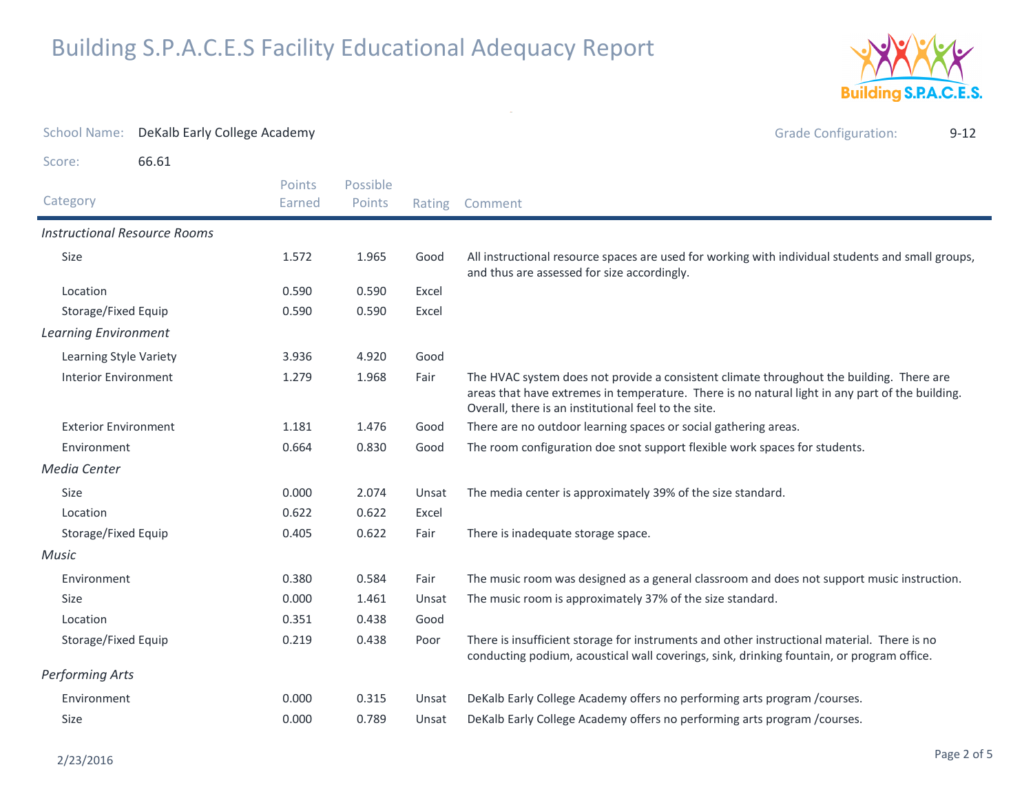

| <b>School Name:</b>                 | DeKalb Early College Academy |                  |                    |        | <b>Grade Configuration:</b><br>$9 - 12$                                                                                                                                                                                                             |
|-------------------------------------|------------------------------|------------------|--------------------|--------|-----------------------------------------------------------------------------------------------------------------------------------------------------------------------------------------------------------------------------------------------------|
| Score:                              | 66.61                        |                  |                    |        |                                                                                                                                                                                                                                                     |
| Category                            |                              | Points<br>Earned | Possible<br>Points | Rating | Comment                                                                                                                                                                                                                                             |
| <b>Instructional Resource Rooms</b> |                              |                  |                    |        |                                                                                                                                                                                                                                                     |
| Size                                |                              | 1.572            | 1.965              | Good   | All instructional resource spaces are used for working with individual students and small groups,<br>and thus are assessed for size accordingly.                                                                                                    |
| Location                            |                              | 0.590            | 0.590              | Excel  |                                                                                                                                                                                                                                                     |
| Storage/Fixed Equip                 |                              | 0.590            | 0.590              | Excel  |                                                                                                                                                                                                                                                     |
| <b>Learning Environment</b>         |                              |                  |                    |        |                                                                                                                                                                                                                                                     |
| Learning Style Variety              |                              | 3.936            | 4.920              | Good   |                                                                                                                                                                                                                                                     |
| <b>Interior Environment</b>         |                              | 1.279            | 1.968              | Fair   | The HVAC system does not provide a consistent climate throughout the building. There are<br>areas that have extremes in temperature. There is no natural light in any part of the building.<br>Overall, there is an institutional feel to the site. |
| <b>Exterior Environment</b>         |                              | 1.181            | 1.476              | Good   | There are no outdoor learning spaces or social gathering areas.                                                                                                                                                                                     |
| Environment                         |                              | 0.664            | 0.830              | Good   | The room configuration doe snot support flexible work spaces for students.                                                                                                                                                                          |
| <b>Media Center</b>                 |                              |                  |                    |        |                                                                                                                                                                                                                                                     |
| Size                                |                              | 0.000            | 2.074              | Unsat  | The media center is approximately 39% of the size standard.                                                                                                                                                                                         |
| Location                            |                              | 0.622            | 0.622              | Excel  |                                                                                                                                                                                                                                                     |
| Storage/Fixed Equip                 |                              | 0.405            | 0.622              | Fair   | There is inadequate storage space.                                                                                                                                                                                                                  |
| Music                               |                              |                  |                    |        |                                                                                                                                                                                                                                                     |
| Environment                         |                              | 0.380            | 0.584              | Fair   | The music room was designed as a general classroom and does not support music instruction.                                                                                                                                                          |
| Size                                |                              | 0.000            | 1.461              | Unsat  | The music room is approximately 37% of the size standard.                                                                                                                                                                                           |
| Location                            |                              | 0.351            | 0.438              | Good   |                                                                                                                                                                                                                                                     |
| Storage/Fixed Equip                 |                              | 0.219            | 0.438              | Poor   | There is insufficient storage for instruments and other instructional material. There is no<br>conducting podium, acoustical wall coverings, sink, drinking fountain, or program office.                                                            |
| Performing Arts                     |                              |                  |                    |        |                                                                                                                                                                                                                                                     |
| Environment                         |                              | 0.000            | 0.315              | Unsat  | DeKalb Early College Academy offers no performing arts program / courses.                                                                                                                                                                           |
| Size                                |                              | 0.000            | 0.789              | Unsat  | DeKalb Early College Academy offers no performing arts program /courses.                                                                                                                                                                            |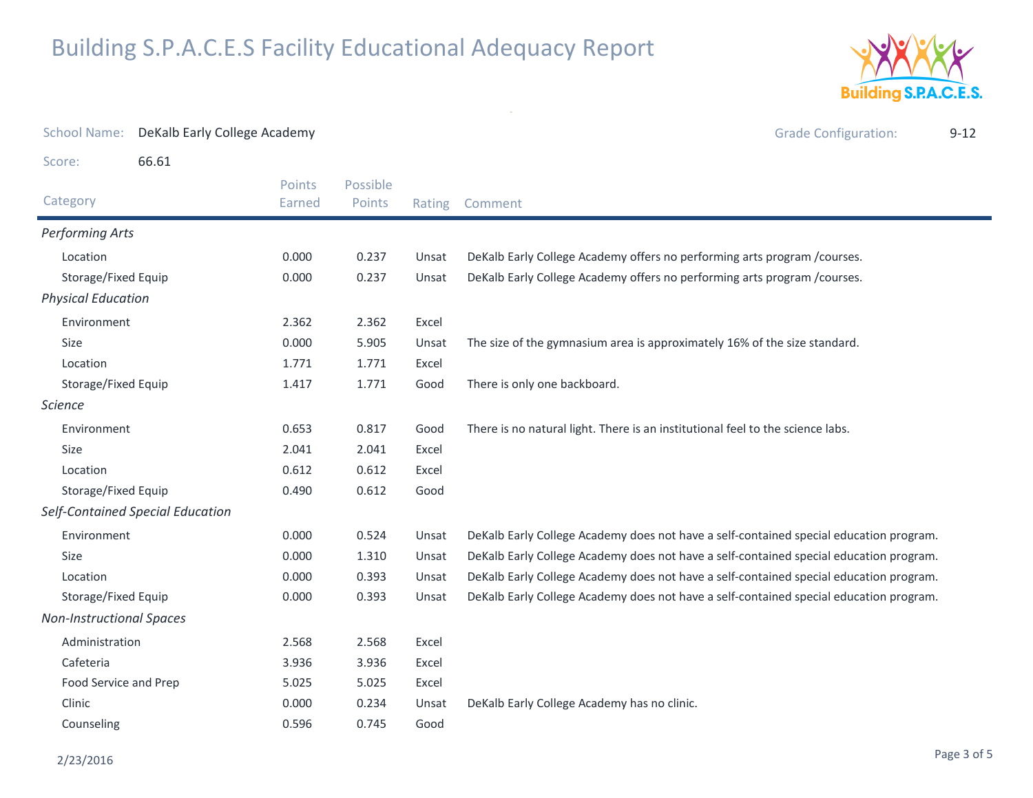

| <b>School Name:</b>             | DeKalb Early College Academy     |                  |                                             |        | <b>Grade Configuration:</b><br>$9 - 12$                                                |
|---------------------------------|----------------------------------|------------------|---------------------------------------------|--------|----------------------------------------------------------------------------------------|
| Score:                          | 66.61                            |                  |                                             |        |                                                                                        |
| Category                        |                                  | Points<br>Earned | Possible<br>Points                          | Rating | Comment                                                                                |
| <b>Performing Arts</b>          |                                  |                  |                                             |        |                                                                                        |
| Location                        |                                  | 0.000            | 0.237                                       | Unsat  | DeKalb Early College Academy offers no performing arts program / courses.              |
| Storage/Fixed Equip             |                                  | 0.000            | 0.237                                       | Unsat  | DeKalb Early College Academy offers no performing arts program / courses.              |
| <b>Physical Education</b>       |                                  |                  |                                             |        |                                                                                        |
| Environment                     |                                  | 2.362            | 2.362                                       | Excel  |                                                                                        |
| <b>Size</b>                     |                                  | 0.000            | 5.905                                       | Unsat  | The size of the gymnasium area is approximately 16% of the size standard.              |
| Location                        |                                  | 1.771            | 1.771                                       | Excel  |                                                                                        |
| Storage/Fixed Equip             |                                  | 1.417            | 1.771                                       | Good   | There is only one backboard.                                                           |
| <b>Science</b>                  |                                  |                  |                                             |        |                                                                                        |
| Environment                     |                                  | 0.653            | 0.817                                       | Good   | There is no natural light. There is an institutional feel to the science labs.         |
| <b>Size</b>                     |                                  | 2.041            | 2.041                                       | Excel  |                                                                                        |
| Location                        |                                  | 0.612            | 0.612                                       | Excel  |                                                                                        |
| Storage/Fixed Equip             |                                  | 0.490            | 0.612                                       | Good   |                                                                                        |
|                                 | Self-Contained Special Education |                  |                                             |        |                                                                                        |
| Environment                     |                                  | 0.000            | 0.524                                       | Unsat  | DeKalb Early College Academy does not have a self-contained special education program. |
| Size                            |                                  | 0.000            | 1.310                                       | Unsat  | DeKalb Early College Academy does not have a self-contained special education program. |
| Location                        |                                  | 0.000            | 0.393                                       | Unsat  | DeKalb Early College Academy does not have a self-contained special education program. |
| Storage/Fixed Equip             |                                  | 0.000            | 0.393                                       | Unsat  | DeKalb Early College Academy does not have a self-contained special education program. |
| <b>Non-Instructional Spaces</b> |                                  |                  |                                             |        |                                                                                        |
| Administration                  |                                  | 2.568            | 2.568                                       | Excel  |                                                                                        |
| Cafeteria                       |                                  | 3.936            | 3.936                                       | Excel  |                                                                                        |
| Food Service and Prep           |                                  | 5.025            | 5.025                                       | Excel  |                                                                                        |
| Clinic<br>0.000<br>0.234        |                                  | Unsat            | DeKalb Early College Academy has no clinic. |        |                                                                                        |
| Counseling                      |                                  | 0.596            | 0.745                                       | Good   |                                                                                        |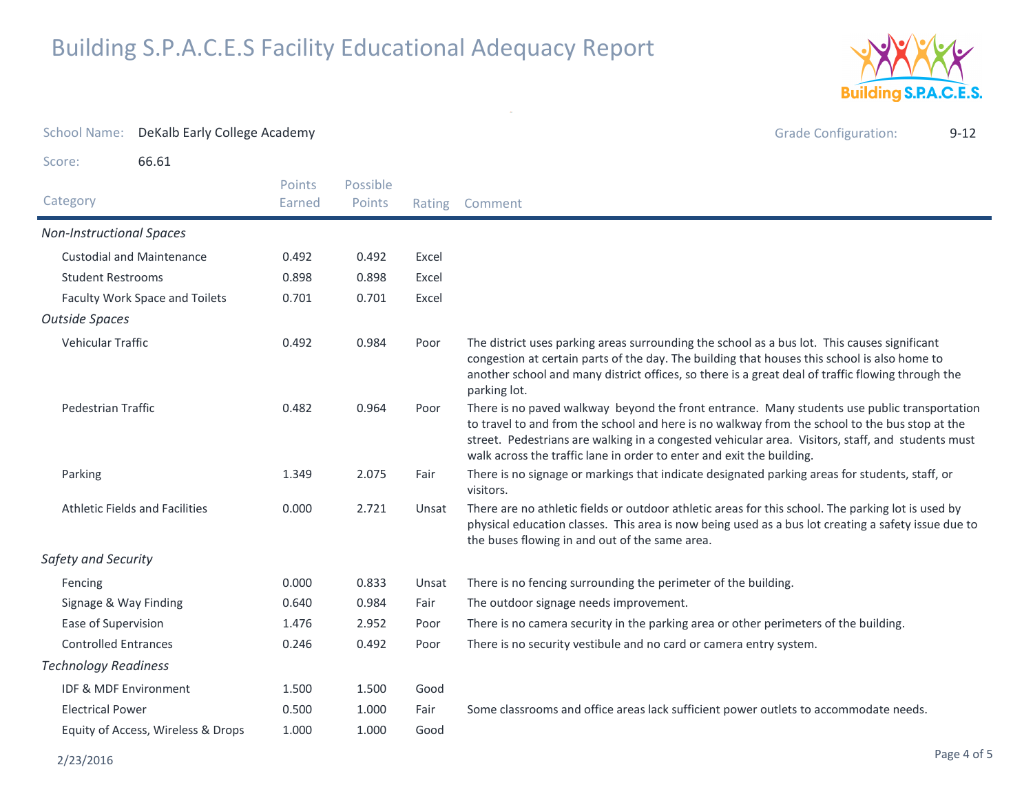

| <b>School Name:</b>                | DeKalb Early College Academy     |                  |                    |       | <b>Grade Configuration:</b><br>$9 - 12$                                                                                                                                                                                                                                                                                                                                      |
|------------------------------------|----------------------------------|------------------|--------------------|-------|------------------------------------------------------------------------------------------------------------------------------------------------------------------------------------------------------------------------------------------------------------------------------------------------------------------------------------------------------------------------------|
| Score:                             | 66.61                            |                  |                    |       |                                                                                                                                                                                                                                                                                                                                                                              |
| Category                           |                                  | Points<br>Earned | Possible<br>Points |       | Rating Comment                                                                                                                                                                                                                                                                                                                                                               |
| <b>Non-Instructional Spaces</b>    |                                  |                  |                    |       |                                                                                                                                                                                                                                                                                                                                                                              |
|                                    | <b>Custodial and Maintenance</b> | 0.492            | 0.492              | Excel |                                                                                                                                                                                                                                                                                                                                                                              |
| <b>Student Restrooms</b>           |                                  | 0.898            | 0.898              | Excel |                                                                                                                                                                                                                                                                                                                                                                              |
|                                    | Faculty Work Space and Toilets   | 0.701            | 0.701              | Excel |                                                                                                                                                                                                                                                                                                                                                                              |
| <b>Outside Spaces</b>              |                                  |                  |                    |       |                                                                                                                                                                                                                                                                                                                                                                              |
| <b>Vehicular Traffic</b>           |                                  | 0.492            | 0.984              | Poor  | The district uses parking areas surrounding the school as a bus lot. This causes significant<br>congestion at certain parts of the day. The building that houses this school is also home to<br>another school and many district offices, so there is a great deal of traffic flowing through the<br>parking lot.                                                            |
| <b>Pedestrian Traffic</b>          |                                  | 0.482            | 0.964              | Poor  | There is no paved walkway beyond the front entrance. Many students use public transportation<br>to travel to and from the school and here is no walkway from the school to the bus stop at the<br>street. Pedestrians are walking in a congested vehicular area. Visitors, staff, and students must<br>walk across the traffic lane in order to enter and exit the building. |
| Parking                            |                                  | 1.349            | 2.075              | Fair  | There is no signage or markings that indicate designated parking areas for students, staff, or<br>visitors.                                                                                                                                                                                                                                                                  |
| Athletic Fields and Facilities     |                                  | 0.000            | 2.721              | Unsat | There are no athletic fields or outdoor athletic areas for this school. The parking lot is used by<br>physical education classes. This area is now being used as a bus lot creating a safety issue due to<br>the buses flowing in and out of the same area.                                                                                                                  |
| Safety and Security                |                                  |                  |                    |       |                                                                                                                                                                                                                                                                                                                                                                              |
| Fencing                            |                                  | 0.000            | 0.833              | Unsat | There is no fencing surrounding the perimeter of the building.                                                                                                                                                                                                                                                                                                               |
| Signage & Way Finding              |                                  | 0.640            | 0.984              | Fair  | The outdoor signage needs improvement.                                                                                                                                                                                                                                                                                                                                       |
| Ease of Supervision                |                                  | 1.476            | 2.952              | Poor  | There is no camera security in the parking area or other perimeters of the building.                                                                                                                                                                                                                                                                                         |
| <b>Controlled Entrances</b>        |                                  | 0.246            | 0.492              | Poor  | There is no security vestibule and no card or camera entry system.                                                                                                                                                                                                                                                                                                           |
| <b>Technology Readiness</b>        |                                  |                  |                    |       |                                                                                                                                                                                                                                                                                                                                                                              |
| IDF & MDF Environment              |                                  | 1.500            | 1.500              | Good  |                                                                                                                                                                                                                                                                                                                                                                              |
| <b>Electrical Power</b>            |                                  | 0.500            | 1.000              | Fair  | Some classrooms and office areas lack sufficient power outlets to accommodate needs.                                                                                                                                                                                                                                                                                         |
| Equity of Access, Wireless & Drops |                                  | 1.000            | 1.000              | Good  |                                                                                                                                                                                                                                                                                                                                                                              |